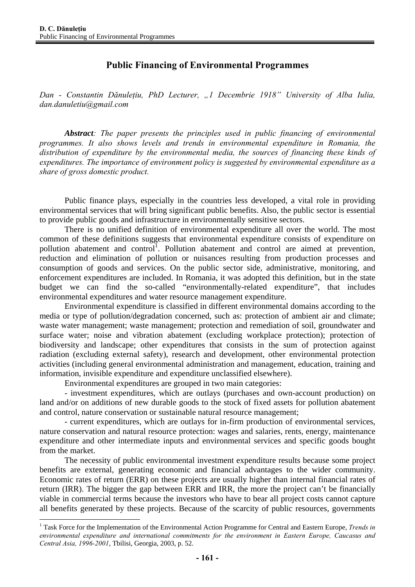# **Public Financing of Environmental Programmes**

*Dan - Constantin Dănuleţiu, PhD Lecturer, "1 Decembrie 1918" University of Alba Iulia, dan.danuletiu@gmail.com* 

*Abstract: The paper presents the principles used in public financing of environmental programmes. It also shows levels and trends in environmental expenditure in Romania, the distribution of expenditure by the environmental media, the sources of financing these kinds of expenditures. The importance of environment policy is suggested by environmental expenditure as a share of gross domestic product.* 

Public finance plays, especially in the countries less developed, a vital role in providing environmental services that will bring significant public benefits. Also, the public sector is essential to provide public goods and infrastructure in environmentally sensitive sectors.

There is no unified definition of environmental expenditure all over the world. The most common of these definitions suggests that environmental expenditure consists of expenditure on pollution abatement and control<sup>1</sup>. Pollution abatement and control are aimed at prevention, reduction and elimination of pollution or nuisances resulting from production processes and consumption of goods and services. On the public sector side, administrative, monitoring, and enforcement expenditures are included. In Romania, it was adopted this definition, but in the state budget we can find the so-called "environmentally-related expenditure", that includes environmental expenditures and water resource management expenditure.

Environmental expenditure is classified in different environmental domains according to the media or type of pollution/degradation concerned, such as: protection of ambient air and climate; waste water management; waste management; protection and remediation of soil, groundwater and surface water; noise and vibration abatement (excluding workplace protection); protection of biodiversity and landscape; other expenditures that consists in the sum of protection against radiation (excluding external safety), research and development, other environmental protection activities (including general environmental administration and management, education, training and information, invisible expenditure and expenditure unclassified elsewhere).

Environmental expenditures are grouped in two main categories:

 $\overline{a}$ 

- investment expenditures, which are outlays (purchases and own-account production) on land and/or on additions of new durable goods to the stock of fixed assets for pollution abatement and control, nature conservation or sustainable natural resource management;

- current expenditures, which are outlays for in-firm production of environmental services, nature conservation and natural resource protection: wages and salaries, rents, energy, maintenance expenditure and other intermediate inputs and environmental services and specific goods bought from the market.

The necessity of public environmental investment expenditure results because some project benefits are external, generating economic and financial advantages to the wider community. Economic rates of return (ERR) on these projects are usually higher than internal financial rates of return (IRR). The bigger the gap between ERR and IRR, the more the project can't be financially viable in commercial terms because the investors who have to bear all project costs cannot capture all benefits generated by these projects. Because of the scarcity of public resources, governments

<sup>&</sup>lt;sup>1</sup> Task Force for the Implementation of the Environmental Action Programme for Central and Eastern Europe, *Trends in environmental expenditure and international commitments for the environment in Eastern Europe, Caucasus and Central Asia, 1996-2001*, Tbilisi, Georgia, 2003, p. 52.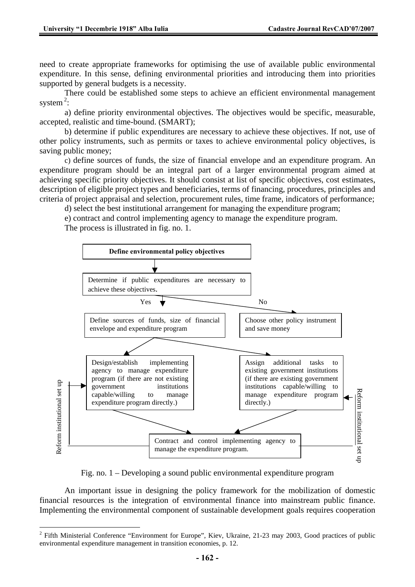need to create appropriate frameworks for optimising the use of available public environmental expenditure. In this sense, defining environmental priorities and introducing them into priorities supported by general budgets is a necessity.

There could be established some steps to achieve an efficient environmental management system $^2$ :

a) define priority environmental objectives. The objectives would be specific, measurable, accepted, realistic and time-bound. (SMART);

b) determine if public expenditures are necessary to achieve these objectives. If not, use of other policy instruments, such as permits or taxes to achieve environmental policy objectives, is saving public money;

c) define sources of funds, the size of financial envelope and an expenditure program. An expenditure program should be an integral part of a larger environmental program aimed at achieving specific priority objectives. It should consist at list of specific objectives, cost estimates, description of eligible project types and beneficiaries, terms of financing, procedures, principles and criteria of project appraisal and selection, procurement rules, time frame, indicators of performance;

d) select the best institutional arrangement for managing the expenditure program;

e) contract and control implementing agency to manage the expenditure program.

The process is illustrated in fig. no. 1.



Fig. no. 1 – Developing a sound public environmental expenditure program

An important issue in designing the policy framework for the mobilization of domestic financial resources is the integration of environmental finance into mainstream public finance. Implementing the environmental component of sustainable development goals requires cooperation

 $\overline{a}$  $2$  Fifth Ministerial Conference "Environment for Europe", Kiev, Ukraine, 21-23 may 2003, Good practices of public environmental expenditure management in transition economies, p. 12.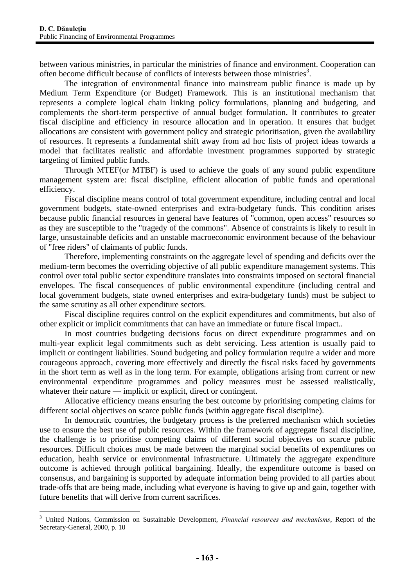$\overline{a}$ 

between various ministries, in particular the ministries of finance and environment. Cooperation can often become difficult because of conflicts of interests between those ministries<sup>3</sup>.

The integration of environmental finance into mainstream public finance is made up by Medium Term Expenditure (or Budget) Framework. This is an institutional mechanism that represents a complete logical chain linking policy formulations, planning and budgeting, and complements the short-term perspective of annual budget formulation. It contributes to greater fiscal discipline and efficiency in resource allocation and in operation. It ensures that budget allocations are consistent with government policy and strategic prioritisation, given the availability of resources. It represents a fundamental shift away from ad hoc lists of project ideas towards a model that facilitates realistic and affordable investment programmes supported by strategic targeting of limited public funds.

Through MTEF(or MTBF) is used to achieve the goals of any sound public expenditure management system are: fiscal discipline, efficient allocation of public funds and operational efficiency.

Fiscal discipline means control of total government expenditure, including central and local government budgets, state-owned enterprises and extra-budgetary funds. This condition arises because public financial resources in general have features of "common, open access" resources so as they are susceptible to the "tragedy of the commons". Absence of constraints is likely to result in large, unsustainable deficits and an unstable macroeconomic environment because of the behaviour of "free riders" of claimants of public funds.

Therefore, implementing constraints on the aggregate level of spending and deficits over the medium-term becomes the overriding objective of all public expenditure management systems. This control over total public sector expenditure translates into constraints imposed on sectoral financial envelopes. The fiscal consequences of public environmental expenditure (including central and local government budgets, state owned enterprises and extra-budgetary funds) must be subject to the same scrutiny as all other expenditure sectors.

Fiscal discipline requires control on the explicit expenditures and commitments, but also of other explicit or implicit commitments that can have an immediate or future fiscal impact..

In most countries budgeting decisions focus on direct expenditure programmes and on multi-year explicit legal commitments such as debt servicing. Less attention is usually paid to implicit or contingent liabilities. Sound budgeting and policy formulation require a wider and more courageous approach, covering more effectively and directly the fiscal risks faced by governments in the short term as well as in the long term. For example, obligations arising from current or new environmental expenditure programmes and policy measures must be assessed realistically, whatever their nature — implicit or explicit, direct or contingent.

Allocative efficiency means ensuring the best outcome by prioritising competing claims for different social objectives on scarce public funds (within aggregate fiscal discipline).

In democratic countries, the budgetary process is the preferred mechanism which societies use to ensure the best use of public resources. Within the framework of aggregate fiscal discipline, the challenge is to prioritise competing claims of different social objectives on scarce public resources. Difficult choices must be made between the marginal social benefits of expenditures on education, health service or environmental infrastructure. Ultimately the aggregate expenditure outcome is achieved through political bargaining. Ideally, the expenditure outcome is based on consensus, and bargaining is supported by adequate information being provided to all parties about trade-offs that are being made, including what everyone is having to give up and gain, together with future benefits that will derive from current sacrifices.

<sup>3</sup> United Nations, Commission on Sustainable Development, *Financial resources and mechanisms*, Report of the Secretary-General, 2000, p. 10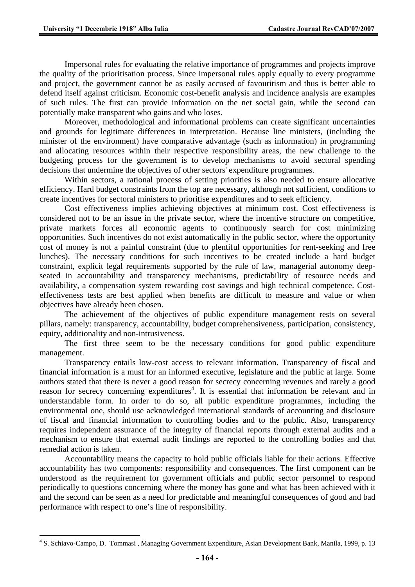$\overline{a}$ 

Impersonal rules for evaluating the relative importance of programmes and projects improve the quality of the prioritisation process. Since impersonal rules apply equally to every programme and project, the government cannot be as easily accused of favouritism and thus is better able to defend itself against criticism. Economic cost-benefit analysis and incidence analysis are examples of such rules. The first can provide information on the net social gain, while the second can potentially make transparent who gains and who loses.

Moreover, methodological and informational problems can create significant uncertainties and grounds for legitimate differences in interpretation. Because line ministers, (including the minister of the environment) have comparative advantage (such as information) in programming and allocating resources within their respective responsibility areas, the new challenge to the budgeting process for the government is to develop mechanisms to avoid sectoral spending decisions that undermine the objectives of other sectors' expenditure programmes.

Within sectors, a rational process of setting priorities is also needed to ensure allocative efficiency. Hard budget constraints from the top are necessary, although not sufficient, conditions to create incentives for sectoral ministers to prioritise expenditures and to seek efficiency.

Cost effectiveness implies achieving objectives at minimum cost. Cost effectiveness is considered not to be an issue in the private sector, where the incentive structure on competitive, private markets forces all economic agents to continuously search for cost minimizing opportunities. Such incentives do not exist automatically in the public sector, where the opportunity cost of money is not a painful constraint (due to plentiful opportunities for rent-seeking and free lunches). The necessary conditions for such incentives to be created include a hard budget constraint, explicit legal requirements supported by the rule of law, managerial autonomy deepseated in accountability and transparency mechanisms, predictability of resource needs and availability, a compensation system rewarding cost savings and high technical competence. Costeffectiveness tests are best applied when benefits are difficult to measure and value or when objectives have already been chosen.

The achievement of the objectives of public expenditure management rests on several pillars, namely: transparency, accountability, budget comprehensiveness, participation, consistency, equity, additionality and non-intrusiveness.

The first three seem to be the necessary conditions for good public expenditure management.

Transparency entails low-cost access to relevant information. Transparency of fiscal and financial information is a must for an informed executive, legislature and the public at large. Some authors stated that there is never a good reason for secrecy concerning revenues and rarely a good reason for secrecy concerning expenditures<sup>4</sup>. It is essential that information be relevant and in understandable form. In order to do so, all public expenditure programmes, including the environmental one, should use acknowledged international standards of accounting and disclosure of fiscal and financial information to controlling bodies and to the public. Also, transparency requires independent assurance of the integrity of financial reports through external audits and a mechanism to ensure that external audit findings are reported to the controlling bodies and that remedial action is taken.

Accountability means the capacity to hold public officials liable for their actions. Effective accountability has two components: responsibility and consequences. The first component can be understood as the requirement for government officials and public sector personnel to respond periodically to questions concerning where the money has gone and what has been achieved with it and the second can be seen as a need for predictable and meaningful consequences of good and bad performance with respect to one's line of responsibility.

<sup>&</sup>lt;sup>4</sup> S. Schiavo-Campo, D. Tommasi, Managing Government Expenditure, Asian Development Bank, Manila, 1999, p. 13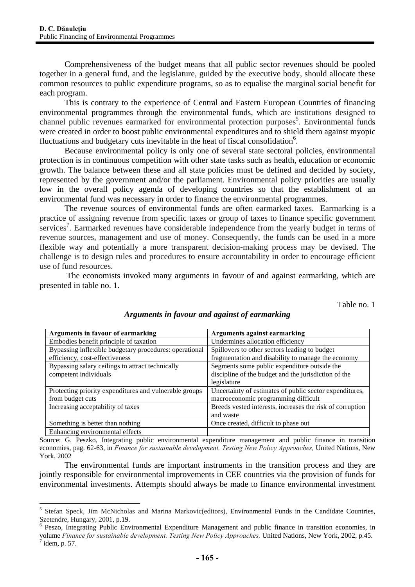$\overline{a}$ 

Comprehensiveness of the budget means that all public sector revenues should be pooled together in a general fund, and the legislature, guided by the executive body, should allocate these common resources to public expenditure programs, so as to equalise the marginal social benefit for each program.

This is contrary to the experience of Central and Eastern European Countries of financing environmental programmes through the environmental funds, which are institutions designed to channel public revenues earmarked for environmental protection purposes<sup>5</sup>. Environmental funds were created in order to boost public environmental expenditures and to shield them against myopic fluctuations and budgetary cuts inevitable in the heat of fiscal consolidation<sup>6</sup>.

Because environmental policy is only one of several state sectoral policies, environmental protection is in continuous competition with other state tasks such as health, education or economic growth. The balance between these and all state policies must be defined and decided by society, represented by the government and/or the parliament. Environmental policy priorities are usually low in the overall policy agenda of developing countries so that the establishment of an environmental fund was necessary in order to finance the environmental programmes.

The revenue sources of environmental funds are often earmarked taxes. Earmarking is a practice of assigning revenue from specific taxes or group of taxes to finance specific government services<sup>7</sup>. Earmarked revenues have considerable independence from the yearly budget in terms of revenue sources, management and use of money. Consequently, the funds can be used in a more flexible way and potentially a more transparent decision-making process may be devised. The challenge is to design rules and procedures to ensure accountability in order to encourage efficient use of fund resources.

 The economists invoked many arguments in favour of and against earmarking, which are presented in table no. 1.

Table no. 1

| Arguments in favour of earmarking                      | Arguments against earmarking                              |
|--------------------------------------------------------|-----------------------------------------------------------|
| Embodies benefit principle of taxation                 | Undermines allocation efficiency                          |
| Bypassing inflexible budgetary procedures: operational | Spillovers to other sectors leading to budget             |
| efficiency, cost-effectiveness                         | fragmentation and disability to manage the economy        |
| Bypassing salary ceilings to attract technically       | Segments some public expenditure outside the              |
| competent individuals                                  | discipline of the budget and the jurisdiction of the      |
|                                                        | legislature                                               |
| Protecting priority expenditures and vulnerable groups | Uncertainty of estimates of public sector expenditures,   |
| from budget cuts                                       | macroeconomic programming difficult                       |
| Increasing acceptability of taxes                      | Breeds vested interests, increases the risk of corruption |
|                                                        | and waste                                                 |
| Something is better than nothing                       | Once created, difficult to phase out                      |
| Enhancing environmental effects                        |                                                           |

### *Arguments in favour and against of earmarking*

Source: G. Peszko, Integrating public environmental expenditure management and public finance in transition economies, pag. 62-63, in *Finance for sustainable development. Testing New Policy Approaches,* United Nations, New York, 2002

The environmental funds are important instruments in the transition process and they are jointly responsible for environmental improvements in CEE countries via the provision of funds for environmental investments. Attempts should always be made to finance environmental investment

<sup>5</sup> Stefan Speck, Jim McNicholas and Marina Markovic(editors), Environmental Funds in the Candidate Countries, Szetendre, Hungary, 2001, p.19.

Peszo, Integrating Public Environmental Expenditure Management and public finance in transition economies, in

volume *Finance for sustainable development. Testing New Policy Approaches, United Nations, New York, 2002, p.45.*<br><sup>7</sup> idem, p. 57.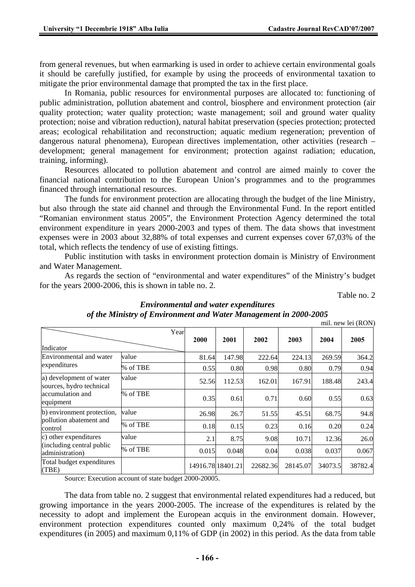from general revenues, but when earmarking is used in order to achieve certain environmental goals it should be carefully justified, for example by using the proceeds of environmental taxation to mitigate the prior environmental damage that prompted the tax in the first place.

In Romania, public resources for environmental purposes are allocated to: functioning of public administration, pollution abatement and control, biosphere and environment protection (air quality protection; water quality protection; waste management; soil and ground water quality protection; noise and vibration reduction), natural habitat preservation (species protection; protected areas; ecological rehabilitation and reconstruction; aquatic medium regeneration; prevention of dangerous natural phenomena), European directives implementation, other activities (research – development; general management for environment; protection against radiation; education, training, informing).

Resources allocated to pollution abatement and control are aimed mainly to cover the financial national contribution to the European Union's programmes and to the programmes financed through international resources.

The funds for environment protection are allocating through the budget of the line Ministry, but also through the state aid channel and through the Environmental Fund. In the report entitled "Romanian environment status 2005", the Environment Protection Agency determined the total environment expenditure in years 2000-2003 and types of them. The data shows that investment expenses were in 2003 about 32,88% of total expenses and current expenses cover 67,03% of the total, which reflects the tendency of use of existing fittings.

Public institution with tasks in environment protection domain is Ministry of Environment and Water Management.

As regards the section of "environmental and water expenditures" of the Ministry's budget for the years 2000-2006, this is shown in table no. 2.

Table no. 2

|                                                     |          |       |                   |          |          |         | mil. new lei (RON) |
|-----------------------------------------------------|----------|-------|-------------------|----------|----------|---------|--------------------|
| Indicator                                           | Year     | 2000  | 2001              | 2002     | 2003     | 2004    | 2005               |
| Environmental and water                             | value    | 81.64 | 147.98            | 222.64   | 224.13   | 269.59  | 364.2              |
| expenditures                                        | % of TBE | 0.55  | 0.80              | 0.98     | 0.80     | 0.79    | 0.94               |
| a) development of water<br>sources, hydro technical | value    | 52.56 | 112.53            | 162.01   | 167.91   | 188.48  | 243.4              |
| accumulation and<br>equipment                       | % of TBE | 0.35  | 0.61              | 0.71     | 0.60     | 0.55    | 0.63               |
| b) environment protection,                          | value    | 26.98 | 26.7              | 51.55    | 45.51    | 68.75   | 94.8               |
| pollution abatement and<br>control                  | % of TBE | 0.18  | 0.15              | 0.23     | 0.16     | 0.20    | 0.24               |
| c) other expenditures                               | value    | 2.1   | 8.75              | 9.08     | 10.71    | 12.36   | 26.0               |
| (including central public<br>administration)        | % of TBE | 0.015 | 0.048             | 0.04     | 0.038    | 0.037   | 0.067              |
| Total budget expenditures<br>(TBE)                  |          |       | 14916.78 18401.21 | 22682.36 | 28145.07 | 34073.5 | 38782.4            |

# *Environmental and water expenditures of the Ministry of Environment and Water Management in 2000-2005*

mil. new lei (RON)

Source: Execution account of state budget 2000-20005.

The data from table no. 2 suggest that environmental related expenditures had a reduced, but growing importance in the years 2000-2005. The increase of the expenditures is related by the necessity to adopt and implement the European acquis in the environment domain. However, environment protection expenditures counted only maximum 0,24% of the total budget expenditures (in 2005) and maximum 0,11% of GDP (in 2002) in this period. As the data from table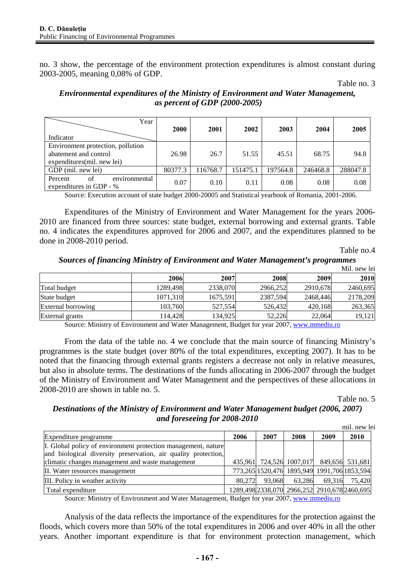no. 3 show, the percentage of the environment protection expenditures is almost constant during 2003-2005, meaning 0,08% of GDP.

Table no. 3

### *Environmental expenditures of the Ministry of Environment and Water Management, as percent of GDP (2000-2005)*

| Year<br>Indicator                                                                         | <b>2000</b> | 2001     | 2002     | 2003     | 2004     | 2005     |
|-------------------------------------------------------------------------------------------|-------------|----------|----------|----------|----------|----------|
| Environment protection, pollution<br>abatement and control<br>expenditures (mil. new lei) | 26.98       | 26.7     | 51.55    | 45.51    | 68.75    | 94.8     |
| GDP (mil. new lei)                                                                        | 80377.3     | 116768.7 | 151475.1 | 197564.8 | 246468.8 | 288047.8 |
| Percent<br>of<br>environmental<br>expenditures in GDP - %                                 | 0.07        | 0.10     | 0.11     | 0.08     | 0.08     | 0.08     |

Source: Execution account of state budget 2000-20005 and Statistical yearbook of Romania, 2001-2006.

Expenditures of the Ministry of Environment and Water Management for the years 2006- 2010 are financed from three sources: state budget, external borrowing and external grants. Table no. 4 indicates the expenditures approved for 2006 and 2007, and the expenditures planned to be done in 2008-2010 period.

Table no.4

*Sources of financing Ministry of Environment and Water Management's programmes* 

|                    |          |          |          |          | Mil. new lei |
|--------------------|----------|----------|----------|----------|--------------|
|                    | 2006     | 2007     | 2008     | 2009     | 2010         |
| Total budget       | 1289,498 | 2338,070 | 2966,252 | 2910,678 | 2460,695     |
| State budget       | 1071,310 | 1675,591 | 2387,594 | 2468,446 | 2178,209     |
| External borrowing | 103,760  | 527,554  | 526,432  | 420,168  | 263,365      |
| External grants    | 114.428  | 134.925  | 52,226   | 22,064   | 19,121       |

Source: Ministry of Environment and Water Management, Budget for year 2007, www.mmediu.ro

From the data of the table no. 4 we conclude that the main source of financing Ministry's programmes is the state budget (over 80% of the total expenditures, excepting 2007). It has to be noted that the financing through external grants registers a decrease not only in relative measures, but also in absolute terms. The destinations of the funds allocating in 2006-2007 through the budget of the Ministry of Environment and Water Management and the perspectives of these allocations in 2008-2010 are shown in table no. 5.

Table no. 5

# *Destinations of the Ministry of Environment and Water Management budget (2006, 2007) and foreseeing for 2008-2010*

|                                                                                                                                 |        |        |                                              |                 | mil. new lei |
|---------------------------------------------------------------------------------------------------------------------------------|--------|--------|----------------------------------------------|-----------------|--------------|
| Expenditure programme                                                                                                           | 2006   | 2007   | 2008                                         | 2009            | 2010         |
| I. Global policy of environment protection management, nature<br>and biological diversity preservation, air quality protection, |        |        |                                              |                 |              |
| climatic changes management and waste management                                                                                |        |        | 435,961 724,526 1007,017                     | 849,656 531,681 |              |
| II. Water resources management                                                                                                  |        |        | 773,265 1520,476 1895,949 1991,706 1853,594  |                 |              |
| III. Policy in weather activity                                                                                                 | 80.272 | 93,068 | 63.286                                       | 69.316          | 75.420       |
| Total expenditure                                                                                                               |        |        | 1289,498 2338,070 2966,252 2910,678 2460,695 |                 |              |

Source: Ministry of Environment and Water Management, Budget for year 2007, www.mmediu.ro

Analysis of the data reflects the importance of the expenditures for the protection against the floods, which covers more than 50% of the total expenditures in 2006 and over 40% in all the other years. Another important expenditure is that for environment protection management, which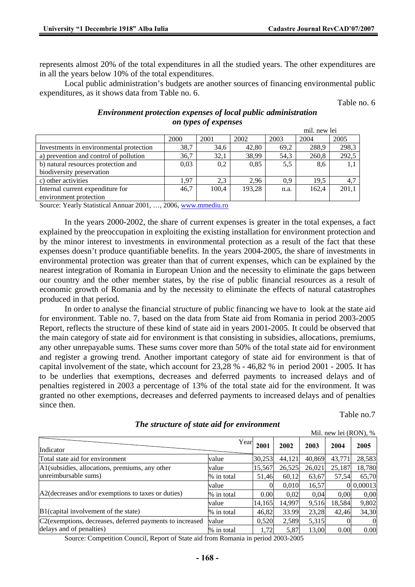represents almost 20% of the total expenditures in all the studied years. The other expenditures are in all the years below 10% of the total expenditures.

Local public administration's budgets are another sources of financing environmental public expenditures, as it shows data from Table no. 6.

Table no. 6

| <b>Environment protection expenses of local public administration</b> |
|-----------------------------------------------------------------------|
| on types of expenses                                                  |

|                                         |      |       |        |      | mil. new lei |       |
|-----------------------------------------|------|-------|--------|------|--------------|-------|
|                                         | 2000 | 2001  | 2002   | 2003 | 2004         | 2005  |
| Investments in environmental protection | 38,7 | 34,6  | 42.80  | 69.2 | 288,9        | 298,3 |
| a) prevention and control of pollution  | 36,7 | 32,1  | 38,99  | 54,3 | 260,8        | 292,5 |
| b) natural resources protection and     | 0.03 | 0,2   | 0,85   | 5,5  | 8,6          | 1,1   |
| biodiversity preservation               |      |       |        |      |              |       |
| c) other activities                     | 1.97 | 2.3   | 2.96   | 0.9  | 19.5         | 4,7   |
| Internal current expenditure for        | 46.7 | 100.4 | 193,28 | n.a. | 162.4        | 201.1 |
| environment protection                  |      |       |        |      |              |       |

Source: Yearly Statistical Annuar 2001, …, 2006, www.mmediu.ro

In the years 2000-2002, the share of current expenses is greater in the total expenses, a fact explained by the preoccupation in exploiting the existing installation for environment protection and by the minor interest to investments in environmental protection as a result of the fact that these expenses doesn't produce quantifiable benefits. In the years 2004-2005, the share of investments in environmental protection was greater than that of current expenses, which can be explained by the nearest integration of Romania in European Union and the necessity to eliminate the gaps between our country and the other member states, by the rise of public financial resources as a result of economic growth of Romania and by the necessity to eliminate the effects of natural catastrophes produced in that period.

In order to analyse the financial structure of public financing we have to look at the state aid for environment. Table no. 7, based on the data from State aid from Romania in period 2003-2005 Report, reflects the structure of these kind of state aid in years 2001-2005. It could be observed that the main category of state aid for environment is that consisting in subsidies, allocations, premiums, any other unrepayable sums. These sums cover more than 50% of the total state aid for environment and register a growing trend. Another important category of state aid for environment is that of capital involvement of the state, which account for 23,28 % - 46,82 % in period 2001 - 2005. It has to be underlies that exemptions, decreases and deferred payments to increased delays and of penalties registered in 2003 a percentage of 13% of the total state aid for the environment. It was granted no other exemptions, decreases and deferred payments to increased delays and of penalties since then.

Table no.7

|                                                          |            |        |        |        | Mil. new lei (RON), % |           |
|----------------------------------------------------------|------------|--------|--------|--------|-----------------------|-----------|
| Indicator                                                | Year       | 2001   | 2002   | 2003   | 2004                  | 2005      |
| Total state aid for environment                          | value      | 30,253 | 44,121 | 40,869 | 43,771                | 28,583    |
| A1(subsidies, allocations, premiums, any other           | value      | 15,567 | 26,525 | 26,021 | 25,187                | 18,780    |
| unreimbursable sums)                                     | % in total | 51,46  | 60,12  | 63,67  | 57,54                 | 65,70     |
|                                                          | value      |        | 0.010  | 16,57  |                       | 0 0,00013 |
| A2(decreases and/or exemptions to taxes or duties)       | % in total | 0.00   | 0.02   | 0.04   | 0,00                  | 0,00      |
|                                                          | value      | 14,165 | 14,997 | 9,516  | 18,584                | 9,802     |
| B1(capital involvement of the state)                     | % in total | 46,82  | 33.99  | 23,28  | 42,46                 | 34,30     |
| C2(exemptions, decreases, deferred payments to increased | value      | 0,520  | 2,589  | 5,315  |                       | 0         |
| delays and of penalties)                                 | % in total | 1,72   | 5,87   | 13,00  | 0.00                  | 0.00      |

*The structure of state aid for environment* 

Source: Competition Council, Report of State aid from Romania in period 2003-2005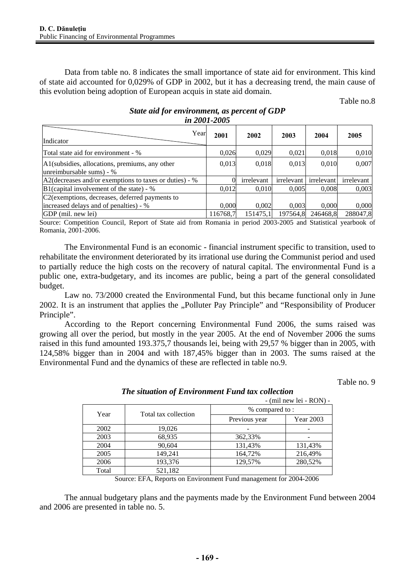Data from table no. 8 indicates the small importance of state aid for environment. This kind of state aid accounted for 0,029% of GDP in 2002, but it has a decreasing trend, the main cause of this evolution being adoption of European acquis in state aid domain.

Table no.8

| Year<br>Indicator                                                          | 2001     | 2002       | 2003       | 2004       | 2005       |  |
|----------------------------------------------------------------------------|----------|------------|------------|------------|------------|--|
| Total state aid for environment - %                                        | 0,026    | 0,029      | 0,021      | 0,018      | 0,010      |  |
| A1(subsidies, allocations, premiums, any other<br>unreimbursable sums) - % | 0,013    | 0,018      | 0.013      | 0,010      | 0,007      |  |
| A2(decreases and/or exemptions to taxes or duties) - %                     |          | irrelevant | irrelevant | irrelevant | irrelevant |  |
| $B1$ (capital involvement of the state) - %                                | 0,012    | 0,010      | 0,005      | 0,008      | 0,003      |  |
| C2 (exemptions, decreases, deferred payments to                            |          |            |            |            |            |  |
| increased delays and of penalties) - %                                     | 0.000    | 0.002      | 0.003      | 0.000      | 0,000      |  |
| GDP (mil. new lei)                                                         | 116768.7 | 151475.1   | 197564,8   | 246468.8   | 288047,8   |  |

#### *State aid for environment, as percent of GDP in 2001-2005*

Source: Competition Council, Report of State aid from Romania in period 2003-2005 and Statistical yearbook of Romania, 2001-2006.

The Environmental Fund is an economic - financial instrument specific to transition, used to rehabilitate the environment deteriorated by its irrational use during the Communist period and used to partially reduce the high costs on the recovery of natural capital. The environmental Fund is a public one, extra-budgetary, and its incomes are public, being a part of the general consolidated budget.

Law no. 73/2000 created the Environmental Fund, but this became functional only in June 2002. It is an instrument that applies the "Polluter Pay Principle" and "Responsibility of Producer Principle".

According to the Report concerning Environmental Fund 2006, the sums raised was growing all over the period, but mostly in the year 2005. At the end of November 2006 the sums raised in this fund amounted 193.375,7 thousands lei, being with 29,57 % bigger than in 2005, with 124,58% bigger than in 2004 and with 187,45% bigger than in 2003. The sums raised at the Environmental Fund and the dynamics of these are reflected in table no.9.

Table no. 9

|       |                      |                | $-$ (mil new lei $-$ RON) $-$ |  |  |  |
|-------|----------------------|----------------|-------------------------------|--|--|--|
| Year  | Total tax collection | % compared to: |                               |  |  |  |
|       |                      | Previous year  | Year 2003                     |  |  |  |
| 2002  | 19,026               |                |                               |  |  |  |
| 2003  | 68,935               | 362,33%        |                               |  |  |  |
| 2004  | 90,604               | 131,43%        | 131,43%                       |  |  |  |
| 2005  | 149,241              | 164,72%        | 216,49%                       |  |  |  |
| 2006  | 193,376              | 129,57%        | 280,52%                       |  |  |  |
| Total | 521,182              |                |                               |  |  |  |

*The situation of Environment Fund tax collection* 

Source: EFA, Reports on Environment Fund management for 2004-2006

The annual budgetary plans and the payments made by the Environment Fund between 2004 and 2006 are presented in table no. 5.